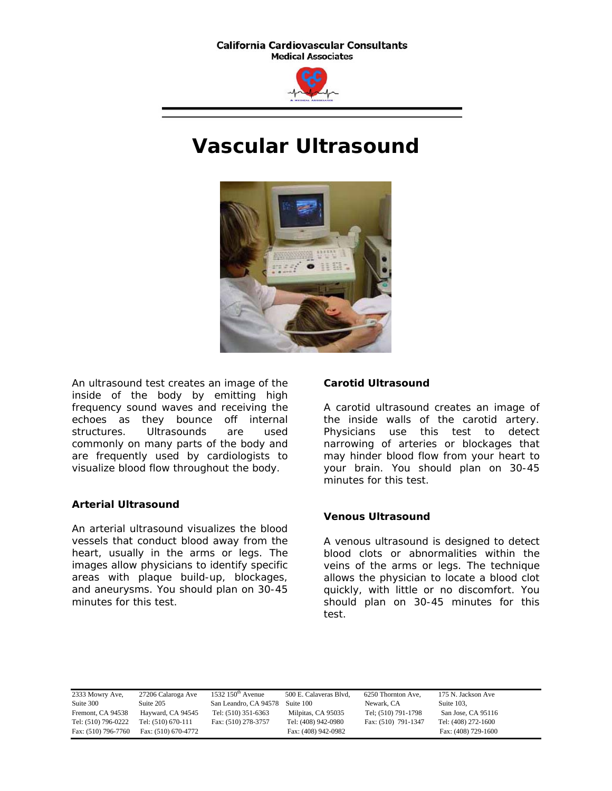**California Cardiovascular Consultants Medical Associates** 



# **Vascular Ultrasound**



An ultrasound test creates an image of the inside of the body by emitting high frequency sound waves and receiving the echoes as they bounce off internal structures. Ultrasounds are used commonly on many parts of the body and are frequently used by cardiologists to visualize blood flow throughout the body.

## **Arterial Ultrasound**

An arterial ultrasound visualizes the blood vessels that conduct blood away from the heart, usually in the arms or legs. The images allow physicians to identify specific areas with plaque build-up, blockages, and aneurysms. You should plan on 30-45 minutes for this test.

#### **Carotid Ultrasound**

A carotid ultrasound creates an image of the inside walls of the carotid artery. Physicians use this test to detect narrowing of arteries or blockages that may hinder blood flow from your heart to your brain. You should plan on 30-45 minutes for this test.

#### **Venous Ultrasound**

A venous ultrasound is designed to detect blood clots or abnormalities within the veins of the arms or legs. The technique allows the physician to locate a blood clot quickly, with little or no discomfort. You should plan on 30-45 minutes for this test.

| 2333 Mowry Ave,     | 27206 Calaroga Ave  | 1532 $150th$ Avenue   | 500 E. Calaveras Blvd. | 6250 Thornton Ave,  | 175 N. Jackson Ave  |
|---------------------|---------------------|-----------------------|------------------------|---------------------|---------------------|
| Suite 300           | Suite 205           | San Leandro, CA 94578 | Suite 100              | Newark, CA          | Suite 103.          |
| Fremont, CA 94538   | Hayward, CA 94545   | Tel: (510) 351-6363   | Milpitas, CA 95035     | Tel; (510) 791-1798 | San Jose, CA 95116  |
| Tel: (510) 796-0222 | Tel: (510) 670-111  | Fax: (510) 278-3757   | Tel: (408) 942-0980    | Fax: (510) 791-1347 | Tel: (408) 272-1600 |
| Fax: (510) 796-7760 | Fax: (510) 670-4772 |                       | Fax: (408) 942-0982    |                     | Fax: (408) 729-1600 |